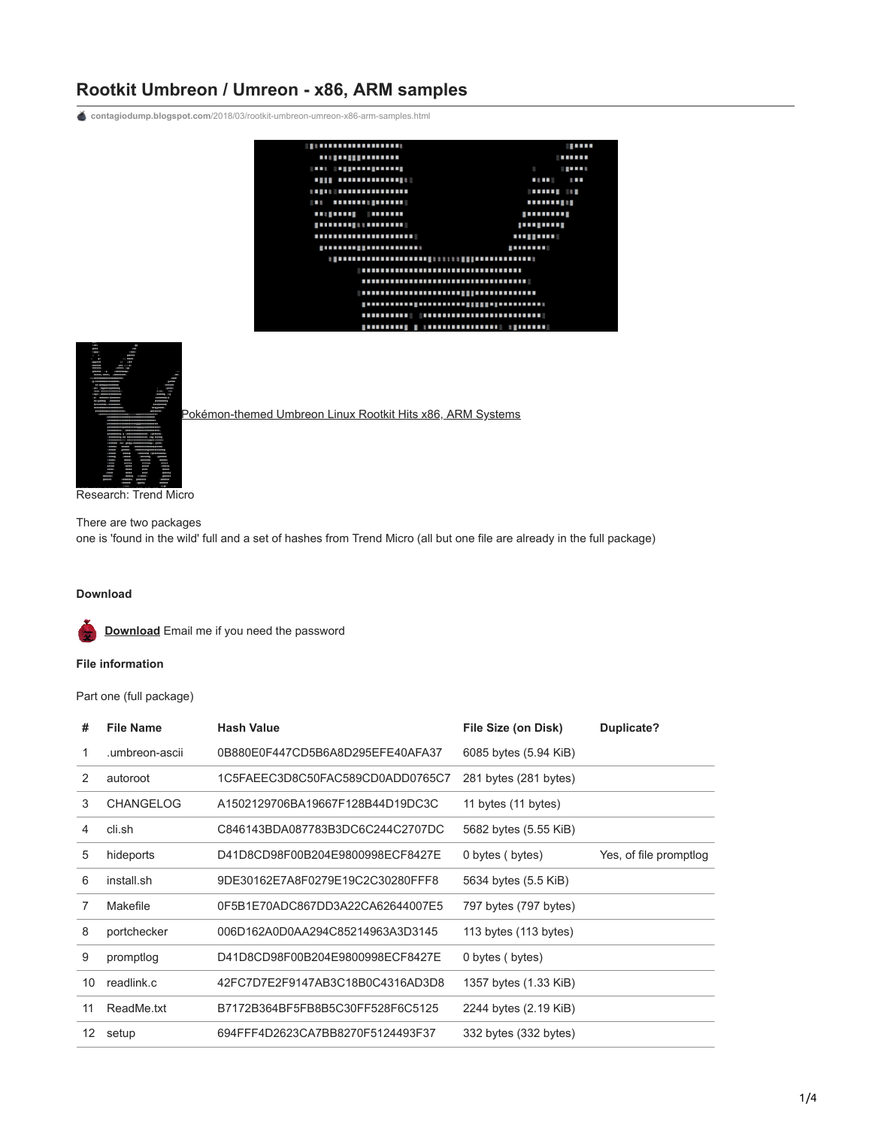## **Rootkit Umbreon / Umreon - x86, ARM samples**

**contagiodump.blogspot.com**[/2018/03/rootkit-umbreon-umreon-x86-arm-samples.html](http://contagiodump.blogspot.com/2018/03/rootkit-umbreon-umreon-x86-arm-samples.html)





[Pokémon-themed Umbreon Linux Rootkit Hits x86, ARM Systems](https://blog.trendmicro.com/trendlabs-security-intelligence/pokemon-themed-umbreon-linux-rootkit-hits-x86-arm-systems/)

Research: Trend Micro

There are two packages one is 'found in the wild' full and a set of hashes from Trend Micro (all but one file are already in the full package)

## **Download**

**[Download](https://www.dropbox.com/s/ce2rx54zydz95qb/Rootkit-umbreon.zip?dl=0)** Email me if you need the password

## **File information**

Part one (full package)

| #                 | <b>File Name</b> | <b>Hash Value</b>                | File Size (on Disk)   | Duplicate?             |
|-------------------|------------------|----------------------------------|-----------------------|------------------------|
|                   | umbreon-ascii.   | 0B880E0F447CD5B6A8D295EFE40AFA37 | 6085 bytes (5.94 KiB) |                        |
| 2                 | autoroot         | 1C5FAEEC3D8C50FAC589CD0ADD0765C7 | 281 bytes (281 bytes) |                        |
| 3                 | <b>CHANGELOG</b> | A1502129706BA19667F128B44D19DC3C | 11 bytes (11 bytes)   |                        |
| 4                 | cli.sh           | C846143BDA087783B3DC6C244C2707DC | 5682 bytes (5.55 KiB) |                        |
| 5                 | hideports        | D41D8CD98F00B204E9800998ECF8427E | 0 bytes (bytes)       | Yes, of file promptlog |
| 6                 | install.sh       | 9DE30162E7A8F0279E19C2C30280FFF8 | 5634 bytes (5.5 KiB)  |                        |
| 7                 | Makefile         | 0F5B1E70ADC867DD3A22CA62644007E5 | 797 bytes (797 bytes) |                        |
| 8                 | portchecker      | 006D162A0D0AA294C85214963A3D3145 | 113 bytes (113 bytes) |                        |
| 9                 | promptlog        | D41D8CD98F00B204E9800998ECF8427E | 0 bytes (bytes)       |                        |
| 10                | readlink.c       | 42FC7D7E2F9147AB3C18B0C4316AD3D8 | 1357 bytes (1.33 KiB) |                        |
| 11                | ReadMe.txt       | B7172B364BF5FB8B5C30FF528F6C5125 | 2244 bytes (2.19 KiB) |                        |
| $12 \overline{ }$ | setup            | 694FFF4D2623CA7BB8270F5124493F37 | 332 bytes (332 bytes) |                        |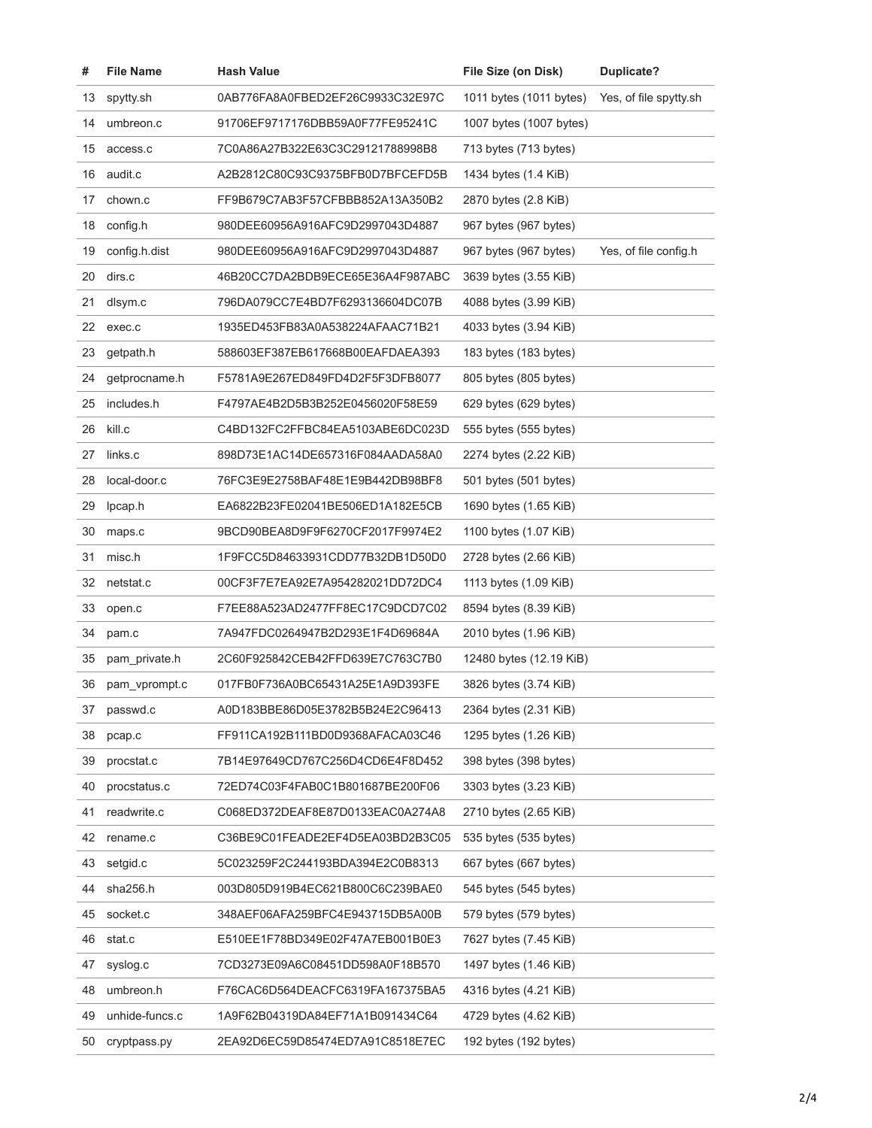| #  | <b>File Name</b> | <b>Hash Value</b>                | File Size (on Disk)     | <b>Duplicate?</b>      |
|----|------------------|----------------------------------|-------------------------|------------------------|
| 13 | spytty.sh        | 0AB776FA8A0FBED2EF26C9933C32E97C | 1011 bytes (1011 bytes) | Yes, of file spytty.sh |
| 14 | umbreon.c        | 91706EF9717176DBB59A0F77FE95241C | 1007 bytes (1007 bytes) |                        |
| 15 | access.c         | 7C0A86A27B322E63C3C29121788998B8 | 713 bytes (713 bytes)   |                        |
| 16 | audit.c          | A2B2812C80C93C9375BFB0D7BFCEFD5B | 1434 bytes (1.4 KiB)    |                        |
| 17 | chown.c          | FF9B679C7AB3F57CFBBB852A13A350B2 | 2870 bytes (2.8 KiB)    |                        |
| 18 | config.h         | 980DEE60956A916AFC9D2997043D4887 | 967 bytes (967 bytes)   |                        |
| 19 | config.h.dist    | 980DEE60956A916AFC9D2997043D4887 | 967 bytes (967 bytes)   | Yes, of file config.h  |
| 20 | dirs.c           | 46B20CC7DA2BDB9ECE65E36A4F987ABC | 3639 bytes (3.55 KiB)   |                        |
| 21 | dlsym.c          | 796DA079CC7E4BD7F6293136604DC07B | 4088 bytes (3.99 KiB)   |                        |
| 22 | exec.c           | 1935ED453FB83A0A538224AFAAC71B21 | 4033 bytes (3.94 KiB)   |                        |
| 23 | getpath.h        | 588603EF387EB617668B00EAFDAEA393 | 183 bytes (183 bytes)   |                        |
| 24 | getprocname.h    | F5781A9E267ED849FD4D2F5F3DFB8077 | 805 bytes (805 bytes)   |                        |
| 25 | includes.h       | F4797AE4B2D5B3B252E0456020F58E59 | 629 bytes (629 bytes)   |                        |
| 26 | kill.c           | C4BD132FC2FFBC84EA5103ABE6DC023D | 555 bytes (555 bytes)   |                        |
| 27 | links.c          | 898D73E1AC14DE657316F084AADA58A0 | 2274 bytes (2.22 KiB)   |                        |
| 28 | local-door.c     | 76FC3E9E2758BAF48E1E9B442DB98BF8 | 501 bytes (501 bytes)   |                        |
| 29 | lpcap.h          | EA6822B23FE02041BE506ED1A182E5CB | 1690 bytes (1.65 KiB)   |                        |
| 30 | maps.c           | 9BCD90BEA8D9F9F6270CF2017F9974E2 | 1100 bytes (1.07 KiB)   |                        |
| 31 | misc.h           | 1F9FCC5D84633931CDD77B32DB1D50D0 | 2728 bytes (2.66 KiB)   |                        |
| 32 | netstat.c        | 00CF3F7E7EA92E7A954282021DD72DC4 | 1113 bytes (1.09 KiB)   |                        |
| 33 | open.c           | F7EE88A523AD2477FF8EC17C9DCD7C02 | 8594 bytes (8.39 KiB)   |                        |
| 34 | pam.c            | 7A947FDC0264947B2D293E1F4D69684A | 2010 bytes (1.96 KiB)   |                        |
| 35 | pam_private.h    | 2C60F925842CEB42FFD639E7C763C7B0 | 12480 bytes (12.19 KiB) |                        |
| 36 | pam_vprompt.c    | 017FB0F736A0BC65431A25E1A9D393FE | 3826 bytes (3.74 KiB)   |                        |
| 37 | passwd.c         | A0D183BBE86D05E3782B5B24E2C96413 | 2364 bytes (2.31 KiB)   |                        |
| 38 | pcap.c           | FF911CA192B111BD0D9368AFACA03C46 | 1295 bytes (1.26 KiB)   |                        |
| 39 | procstat.c       | 7B14E97649CD767C256D4CD6E4F8D452 | 398 bytes (398 bytes)   |                        |
| 40 | procstatus.c     | 72ED74C03F4FAB0C1B801687BE200F06 | 3303 bytes (3.23 KiB)   |                        |
| 41 | readwrite.c      | C068ED372DEAF8E87D0133EAC0A274A8 | 2710 bytes (2.65 KiB)   |                        |
| 42 | rename.c         | C36BE9C01FEADE2EF4D5EA03BD2B3C05 | 535 bytes (535 bytes)   |                        |
| 43 | setgid.c         | 5C023259F2C244193BDA394E2C0B8313 | 667 bytes (667 bytes)   |                        |
| 44 | sha256.h         | 003D805D919B4EC621B800C6C239BAE0 | 545 bytes (545 bytes)   |                        |
| 45 | socket.c         | 348AEF06AFA259BFC4E943715DB5A00B | 579 bytes (579 bytes)   |                        |
| 46 | stat.c           | E510EE1F78BD349E02F47A7EB001B0E3 | 7627 bytes (7.45 KiB)   |                        |
| 47 | syslog.c         | 7CD3273E09A6C08451DD598A0F18B570 | 1497 bytes (1.46 KiB)   |                        |
| 48 | umbreon.h        | F76CAC6D564DEACFC6319FA167375BA5 | 4316 bytes (4.21 KiB)   |                        |
| 49 | unhide-funcs.c   | 1A9F62B04319DA84EF71A1B091434C64 | 4729 bytes (4.62 KiB)   |                        |
| 50 | cryptpass.py     | 2EA92D6EC59D85474ED7A91C8518E7EC | 192 bytes (192 bytes)   |                        |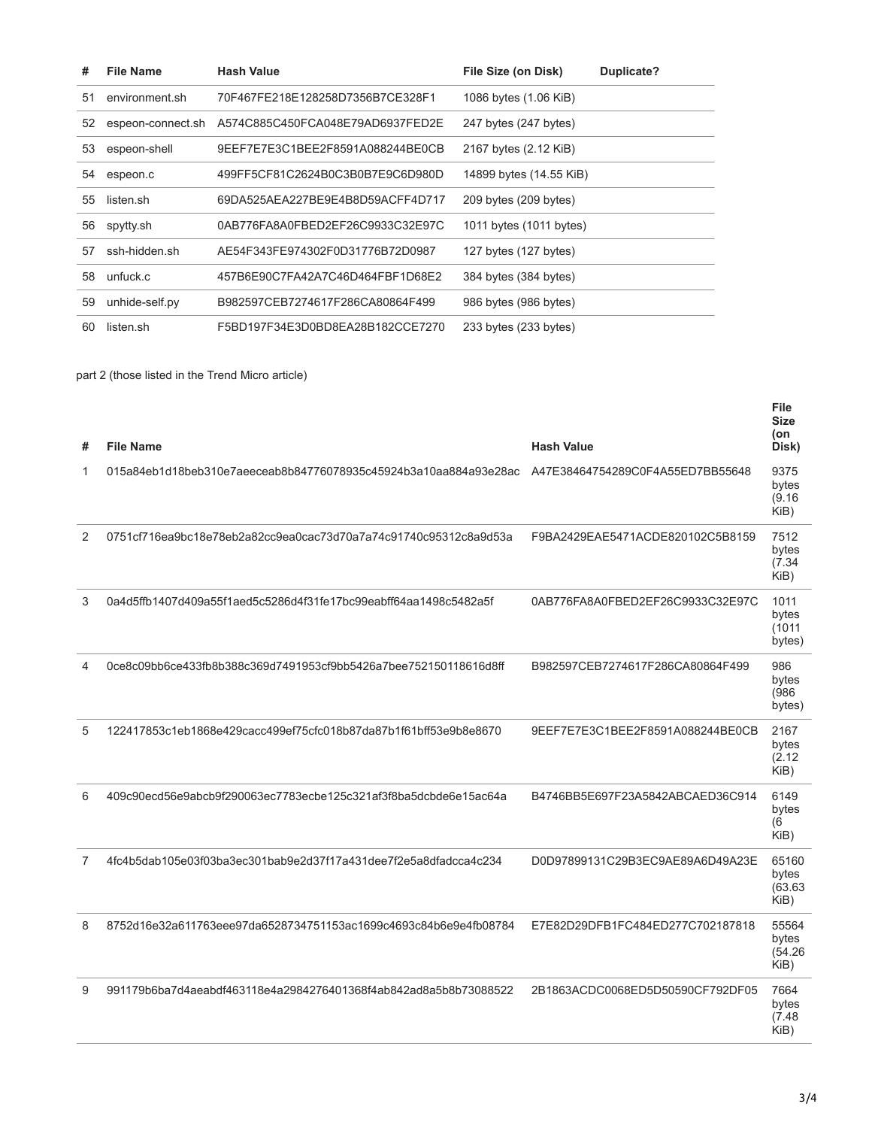| #  | <b>File Name</b>  | <b>Hash Value</b>                | File Size (on Disk)     | Duplicate? |
|----|-------------------|----------------------------------|-------------------------|------------|
| 51 | environment.sh    | 70F467FE218E128258D7356B7CE328F1 | 1086 bytes (1.06 KiB)   |            |
| 52 | espeon-connect.sh | A574C885C450FCA048E79AD6937FED2E | 247 bytes (247 bytes)   |            |
| 53 | espeon-shell      | 9EEF7E7E3C1BEE2F8591A088244BE0CB | 2167 bytes (2.12 KiB)   |            |
| 54 | espeon.c          | 499FF5CF81C2624B0C3B0B7E9C6D980D | 14899 bytes (14.55 KiB) |            |
| 55 | listen.sh         | 69DA525AEA227BE9E4B8D59ACFF4D717 | 209 bytes (209 bytes)   |            |
| 56 | spytty.sh         | 0AB776FA8A0FBED2EF26C9933C32E97C | 1011 bytes (1011 bytes) |            |
| 57 | ssh-hidden.sh     | AE54F343FE974302F0D31776B72D0987 | 127 bytes (127 bytes)   |            |
| 58 | unfuck.c          | 457B6E90C7FA42A7C46D464FBF1D68E2 | 384 bytes (384 bytes)   |            |
| 59 | unhide-self.py    | B982597CEB7274617F286CA80864F499 | 986 bytes (986 bytes)   |            |
| 60 | listen.sh         | F5BD197F34E3D0BD8EA28B182CCE7270 | 233 bytes (233 bytes)   |            |

## part 2 (those listed in the Trend Micro article)

| #                        | <b>File Name</b>                                                 | <b>Hash Value</b>                | <b>File</b><br><b>Size</b><br>(on<br>Disk) |
|--------------------------|------------------------------------------------------------------|----------------------------------|--------------------------------------------|
| 1                        | 015a84eb1d18beb310e7aeeceab8b84776078935c45924b3a10aa884a93e28ac | A47E38464754289C0F4A55ED7BB55648 | 9375<br>bytes<br>(9.16)<br>KiB)            |
| 2                        | 0751cf716ea9bc18e78eb2a82cc9ea0cac73d70a7a74c91740c95312c8a9d53a | F9BA2429EAE5471ACDE820102C5B8159 | 7512<br>bytes<br>(7.34)<br>KiB)            |
| 3                        | 0a4d5ffb1407d409a55f1aed5c5286d4f31fe17bc99eabff64aa1498c5482a5f | 0AB776FA8A0FBED2EF26C9933C32E97C | 1011<br>bytes<br>(1011)<br>bytes)          |
| $\overline{\mathcal{A}}$ | 0ce8c09bb6ce433fb8b388c369d7491953cf9bb5426a7bee752150118616d8ff | B982597CEB7274617F286CA80864F499 | 986<br>bytes<br>(986)<br>bytes)            |
| 5                        | 122417853c1eb1868e429cacc499ef75cfc018b87da87b1f61bff53e9b8e8670 | 9EEF7E7E3C1BEE2F8591A088244BE0CB | 2167<br>bytes<br>(2.12)<br>KiB)            |
| 6                        | 409c90ecd56e9abcb9f290063ec7783ecbe125c321af3f8ba5dcbde6e15ac64a | B4746BB5E697F23A5842ABCAED36C914 | 6149<br>bytes<br>(6)<br>KiB)               |
| 7                        | 4fc4b5dab105e03f03ba3ec301bab9e2d37f17a431dee7f2e5a8dfadcca4c234 | D0D97899131C29B3EC9AE89A6D49A23E | 65160<br>bytes<br>(63.63)<br>KiB)          |
| 8                        | 8752d16e32a611763eee97da6528734751153ac1699c4693c84b6e9e4fb08784 | E7E82D29DFB1FC484ED277C702187818 | 55564<br>bytes<br>(54.26)<br>KiB)          |
| 9                        | 991179b6ba7d4aeabdf463118e4a2984276401368f4ab842ad8a5b8b73088522 | 2B1863ACDC0068ED5D50590CF792DF05 | 7664<br>bytes<br>(7.48)<br>KiB)            |
|                          |                                                                  |                                  |                                            |